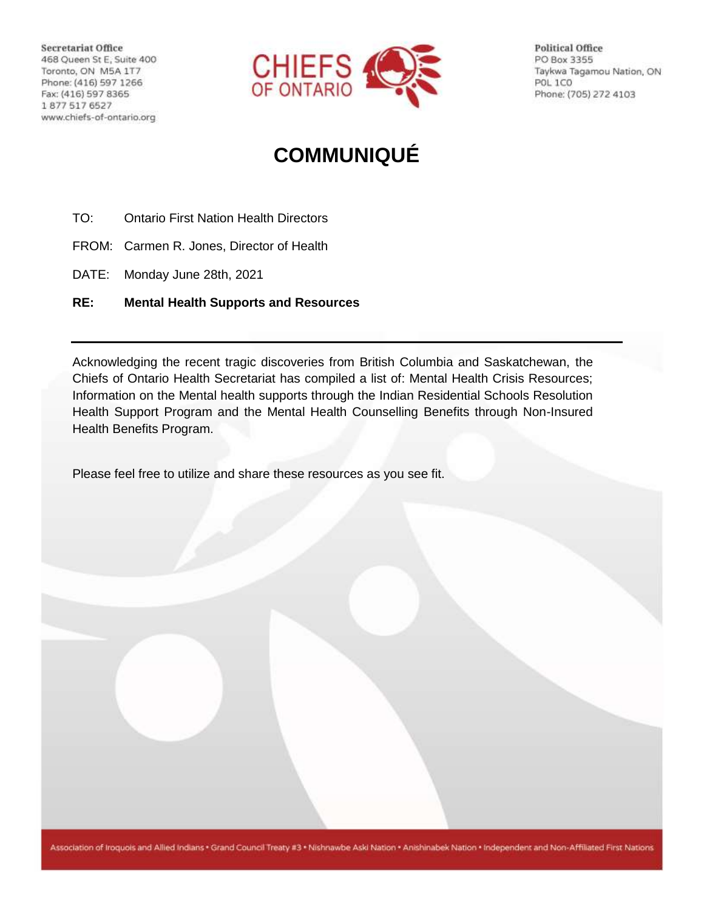Secretariat Office 468 Queen St E, Suite 400 Toronto, ON M5A 1T7 Phone: (416) 597 1266 Fax: (416) 597 8365 1877 517 6527 www.chiefs-of-ontario.org



**Political Office** PO Box 3355 Taykwa Tagamou Nation, ON POL 1CO Phone: (705) 272 4103

# **COMMUNIQUÉ**

- TO: Ontario First Nation Health Directors
- FROM: Carmen R. Jones, Director of Health
- DATE: Monday June 28th, 2021
- **RE: Mental Health Supports and Resources**

Acknowledging the recent tragic discoveries from British Columbia and Saskatchewan, the Chiefs of Ontario Health Secretariat has compiled a list of: Mental Health Crisis Resources; Information on the Mental health supports through the Indian Residential Schools Resolution Health Support Program and the Mental Health Counselling Benefits through Non-Insured Health Benefits Program.

Please feel free to utilize and share these resources as you see fit.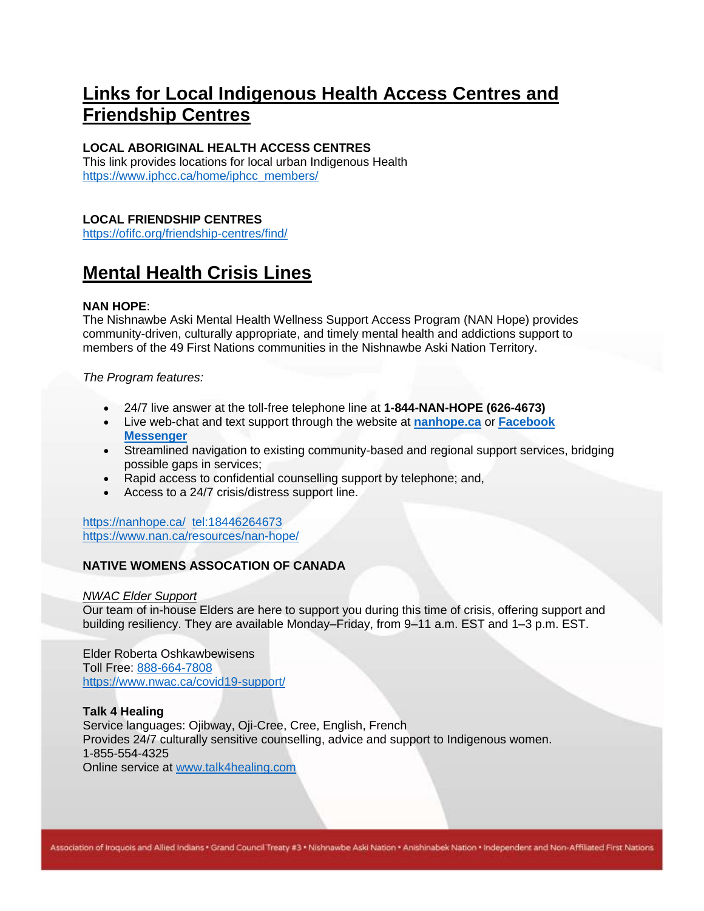## **Links for Local Indigenous Health Access Centres and Friendship Centres**

## **LOCAL ABORIGINAL HEALTH ACCESS CENTRES**

This link provides locations for local urban Indigenous Health [https://www.iphcc.ca/home/iphcc\\_members/](https://www.iphcc.ca/home/iphcc_members/)

## **LOCAL FRIENDSHIP CENTRES**

<https://ofifc.org/friendship-centres/find/>

## **Mental Health Crisis Lines**

## **NAN HOPE**:

The Nishnawbe Aski Mental Health Wellness Support Access Program (NAN Hope) provides community-driven, culturally appropriate, and timely mental health and addictions support to members of the 49 First Nations communities in the Nishnawbe Aski Nation Territory.

*The Program features:*

- 24/7 live answer at the toll-free telephone line at **1-844-NAN-HOPE (626-4673)**
- Live web-chat and text support through the website at **[nanhope.ca](http://www.nanhope.ca/)** or **[Facebook](https://www.facebook.com/NANHOPEPROGRAM)  [Messenger](https://www.facebook.com/NANHOPEPROGRAM)**
- Streamlined navigation to existing community-based and regional support services, bridging possible gaps in services;
- Rapid access to confidential counselling support by telephone; and,
- Access to a 24/7 crisis/distress support line.

<https://nanhope.ca/><tel:18446264673> <https://www.nan.ca/resources/nan-hope/>

## **NATIVE WOMENS ASSOCATION OF CANADA**

#### *NWAC Elder Support*

Our team of in-house Elders are here to support you during this time of crisis, offering support and building resiliency. They are available Monday–Friday, from 9–11 a.m. EST and 1–3 p.m. EST.

Elder Roberta Oshkawbewisens Toll Free: [888-664-7808](tel:888-664-7808) <https://www.nwac.ca/covid19-support/>

#### **Talk 4 Healing** Service languages: Ojibway, Oji-Cree, Cree, English, French Provides 24/7 culturally sensitive counselling, advice and support to Indigenous women. 1-855-554-4325 Online service at [www.talk4healing.com](https://www.talk4healing.com/)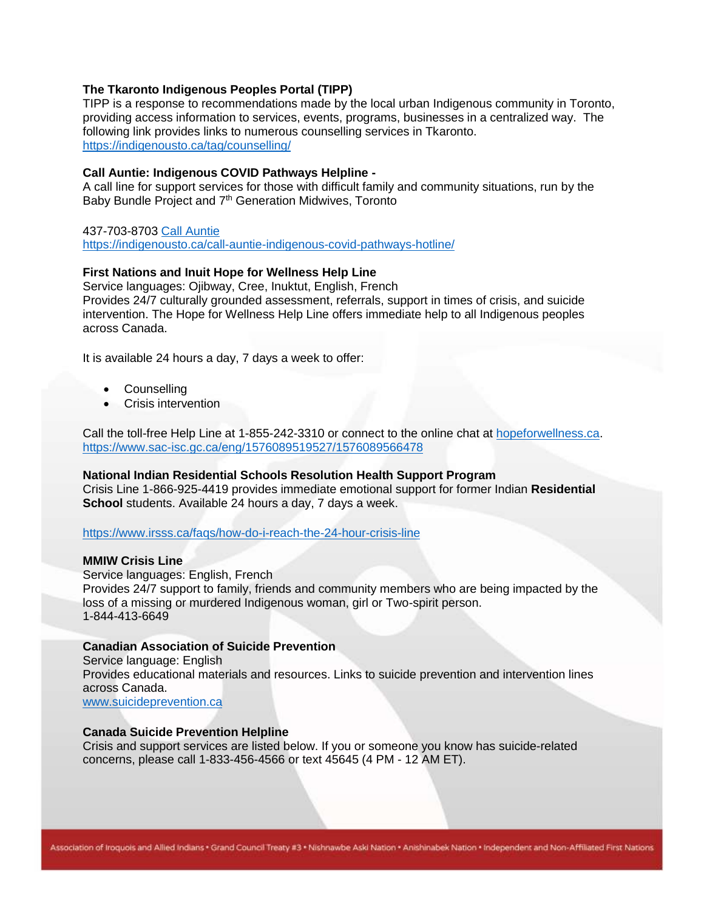#### **The Tkaronto Indigenous Peoples Portal (TIPP)**

TIPP is a response to recommendations made by the local urban Indigenous community in Toronto, providing access information to services, events, programs, businesses in a centralized way. The following link provides links to numerous counselling services in Tkaronto. <https://indigenousto.ca/tag/counselling/>

#### **Call Auntie: Indigenous COVID Pathways Helpline -**

A call line for support services for those with difficult family and community situations, run by the Baby Bundle Project and 7<sup>th</sup> Generation Midwives, Toronto

#### 437-703-8703 [Call Auntie](https://indigenousto.ca/call-auntie-indigenous-covid-pathways-hotline/)

<https://indigenousto.ca/call-auntie-indigenous-covid-pathways-hotline/>

## **First Nations and Inuit Hope for Wellness Help Line**

Service languages: Ojibway, Cree, Inuktut, English, French Provides 24/7 culturally grounded assessment, referrals, support in times of crisis, and suicide intervention. The Hope for Wellness Help Line offers immediate help to all Indigenous peoples across Canada.

It is available 24 hours a day, 7 days a week to offer:

- Counselling
- Crisis intervention

Call the toll-free Help Line at 1-855-242-3310 or connect to the online chat at [hopeforwellness.ca.](https://www.hopeforwellness.ca/) <https://www.sac-isc.gc.ca/eng/1576089519527/1576089566478>

#### **National Indian Residential Schools Resolution Health Support Program**

Crisis Line 1-866-925-4419 provides immediate emotional support for former Indian **Residential School** students. Available 24 hours a day, 7 days a week.

#### <https://www.irsss.ca/faqs/how-do-i-reach-the-24-hour-crisis-line>

#### **MMIW Crisis Line**

Service languages: English, French Provides 24/7 support to family, friends and community members who are being impacted by the loss of a missing or murdered Indigenous woman, girl or Two-spirit person. 1-844-413-6649

#### **Canadian Association of Suicide Prevention**

Service language: English Provides educational materials and resources. Links to suicide prevention and intervention lines across Canada.

[www.suicideprevention.ca](https://www.suicideprevention.ca/)

#### **Canada Suicide Prevention Helpline**

Crisis and support services are listed below. If you or someone you know has suicide-related concerns, please call 1-833-456-4566 or text 45645 (4 PM - 12 AM ET).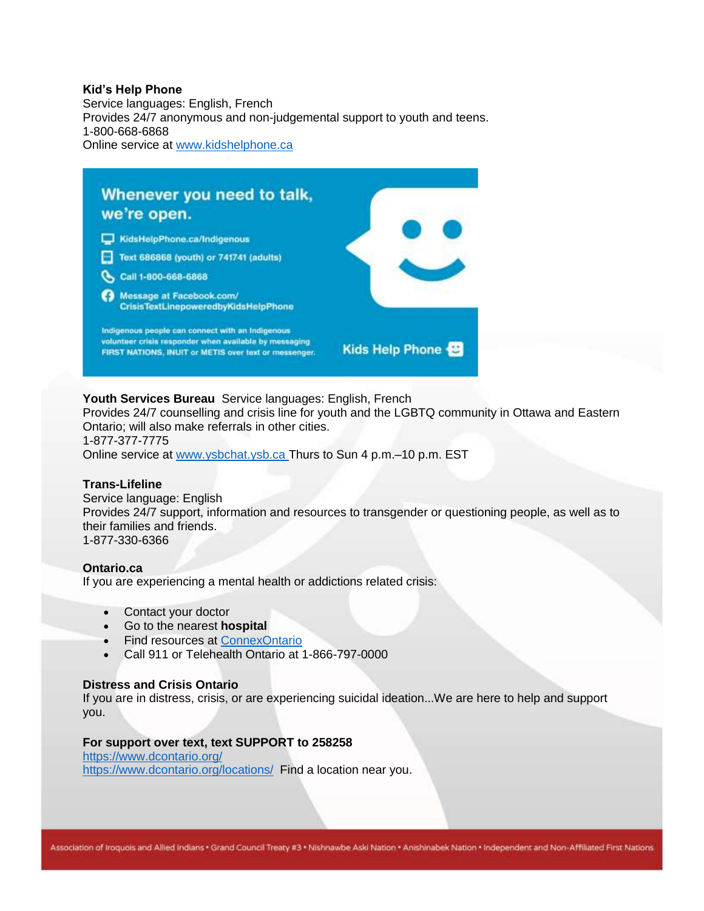#### **Kid's Help Phone**

Service languages: English, French Provides 24/7 anonymous and non-judgemental support to youth and teens. 1-800-668-6868 Online service at [www.kidshelphone.ca](https://kidshelpphone.ca/)



## **Youth Services Bureau** Service languages: English, French

Provides 24/7 counselling and crisis line for youth and the LGBTQ community in Ottawa and Eastern Ontario; will also make referrals in other cities.

1-877-377-7775 Online service at [www.ysbchat.ysb.ca](https://www.ysbchat.ysb.ca/) Thurs to Sun 4 p.m.–10 p.m. EST

#### **Trans-Lifeline**

Service language: English Provides 24/7 support, information and resources to transgender or questioning people, as well as to their families and friends. 1-877-330-6366

#### **Ontario.ca**

If you are experiencing a mental health or addictions related crisis:

- Contact your doctor
- Go to the nearest **hospital**
- Find resources at [ConnexOntario](https://www.connexontario.ca/)
- Call 911 or Telehealth Ontario at 1-866-797-0000

#### **Distress and Crisis Ontario**

If you are in distress, crisis, or are experiencing suicidal ideation...We are here to help and support you.

## **For support over text, text SUPPORT to 258258**

<https://www.dcontario.org/> <https://www.dcontario.org/locations/>Find a location near you.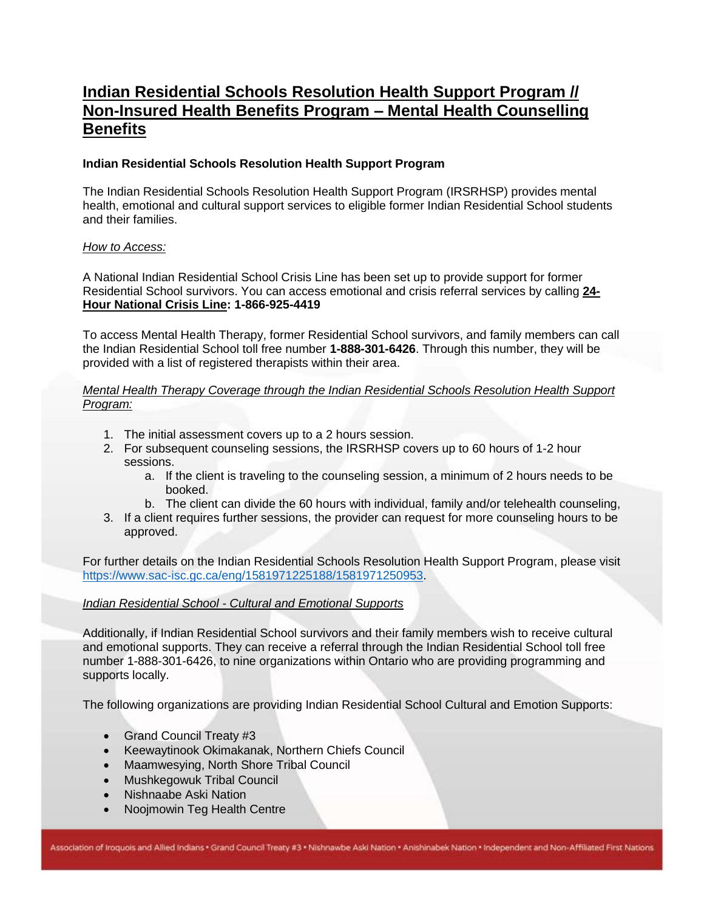## **Indian Residential Schools Resolution Health Support Program // Non-Insured Health Benefits Program – Mental Health Counselling Benefits**

## **Indian Residential Schools Resolution Health Support Program**

The Indian Residential Schools Resolution Health Support Program (IRSRHSP) provides mental health, emotional and cultural support services to eligible former Indian Residential School students and their families.

### *How to Access:*

A National Indian Residential School Crisis Line has been set up to provide support for former Residential School survivors. You can access emotional and crisis referral services by calling **24- Hour National Crisis Line: 1-866-925-4419**

To access Mental Health Therapy, former Residential School survivors, and family members can call the Indian Residential School toll free number **1-888-301-6426**. Through this number, they will be provided with a list of registered therapists within their area.

## *Mental Health Therapy Coverage through the Indian Residential Schools Resolution Health Support Program:*

- 1. The initial assessment covers up to a 2 hours session.
- 2. For subsequent counseling sessions, the IRSRHSP covers up to 60 hours of 1-2 hour sessions.
	- a. If the client is traveling to the counseling session, a minimum of 2 hours needs to be booked.
	- b. The client can divide the 60 hours with individual, family and/or telehealth counseling,
- 3. If a client requires further sessions, the provider can request for more counseling hours to be approved.

For further details on the Indian Residential Schools Resolution Health Support Program, please visit [https://www.sac-isc.gc.ca/eng/1581971225188/1581971250953.](https://www.sac-isc.gc.ca/eng/1581971225188/1581971250953)

## *Indian Residential School - Cultural and Emotional Supports*

Additionally, if Indian Residential School survivors and their family members wish to receive cultural and emotional supports. They can receive a referral through the Indian Residential School toll free number 1-888-301-6426, to nine organizations within Ontario who are providing programming and supports locally.

The following organizations are providing Indian Residential School Cultural and Emotion Supports:

- Grand Council Treaty #3
- Keewaytinook Okimakanak, Northern Chiefs Council
- Maamwesying, North Shore Tribal Council
- Mushkegowuk Tribal Council
- Nishnaabe Aski Nation
- Noojmowin Teg Health Centre

Association of Iroquois and Allied Indians . Grand Council Treaty #3 . Nishnawbe Aski Nation . Anishinabek Nation . Independent and Non-Affiliated First Nations